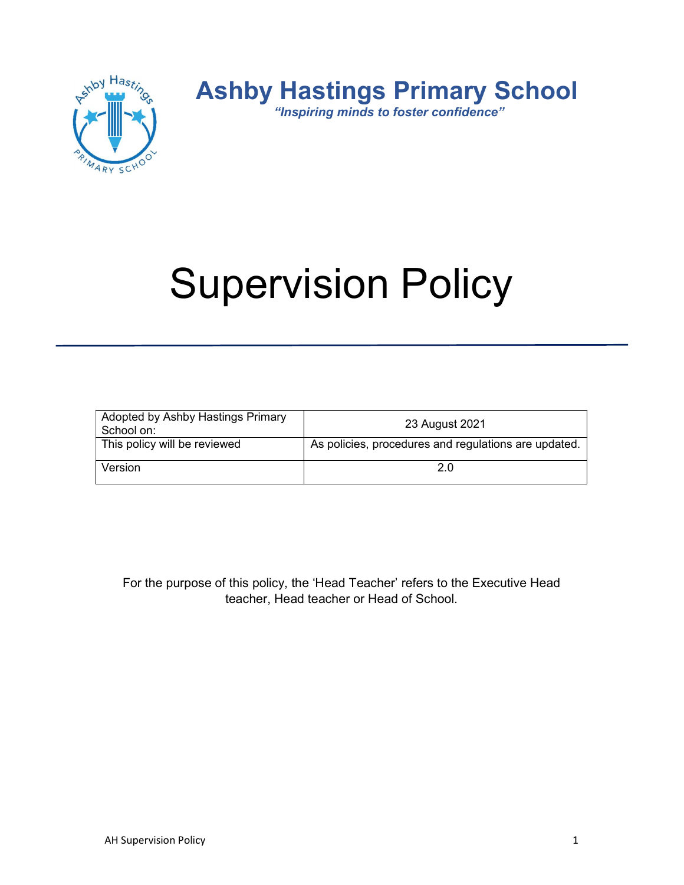

# Supervision Policy

| Adopted by Ashby Hastings Primary<br>School on: | 23 August 2021                                       |
|-------------------------------------------------|------------------------------------------------------|
| This policy will be reviewed                    | As policies, procedures and regulations are updated. |
| Version                                         | 2.0                                                  |

For the purpose of this policy, the 'Head Teacher' refers to the Executive Head teacher, Head teacher or Head of School.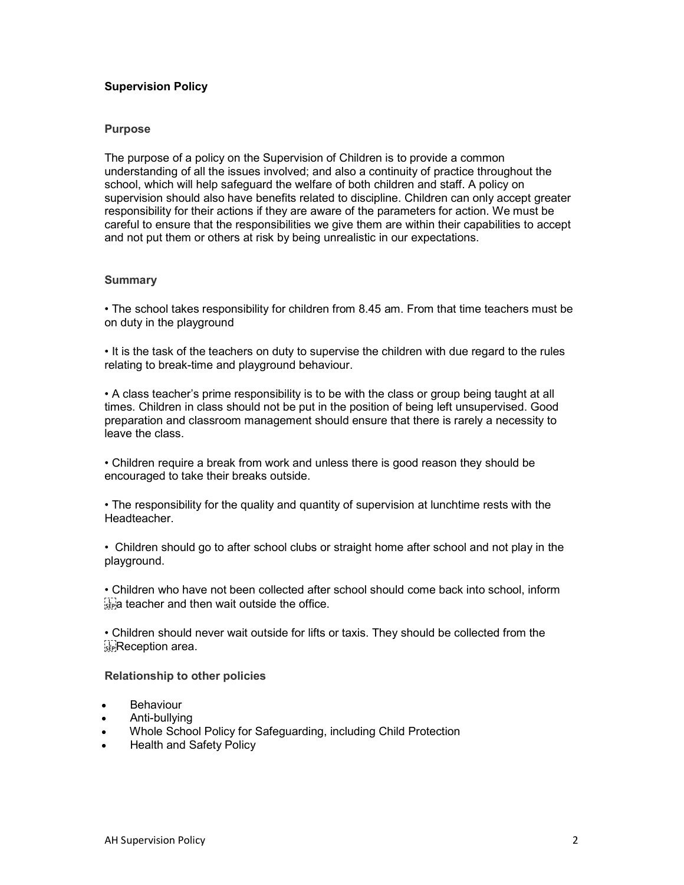# Supervision Policy

## Purpose

The purpose of a policy on the Supervision of Children is to provide a common understanding of all the issues involved; and also a continuity of practice throughout the school, which will help safeguard the welfare of both children and staff. A policy on supervision should also have benefits related to discipline. Children can only accept greater responsibility for their actions if they are aware of the parameters for action. We must be careful to ensure that the responsibilities we give them are within their capabilities to accept and not put them or others at risk by being unrealistic in our expectations.

## **Summary**

• The school takes responsibility for children from 8.45 am. From that time teachers must be on duty in the playground

• It is the task of the teachers on duty to supervise the children with due regard to the rules relating to break-time and playground behaviour.

• A class teacher's prime responsibility is to be with the class or group being taught at all times. Children in class should not be put in the position of being left unsupervised. Good preparation and classroom management should ensure that there is rarely a necessity to leave the class.

• Children require a break from work and unless there is good reason they should be encouraged to take their breaks outside.

• The responsibility for the quality and quantity of supervision at lunchtime rests with the Headteacher.

• Children should go to after school clubs or straight home after school and not play in the playground.

• Children who have not been collected after school should come back into school, inform  $\frac{1}{34}$  teacher and then wait outside the office.

• Children should never wait outside for lifts or taxis. They should be collected from the **Reception area.** 

## Relationship to other policies

- Behaviour
- Anti-bullying
- Whole School Policy for Safeguarding, including Child Protection
- Health and Safety Policy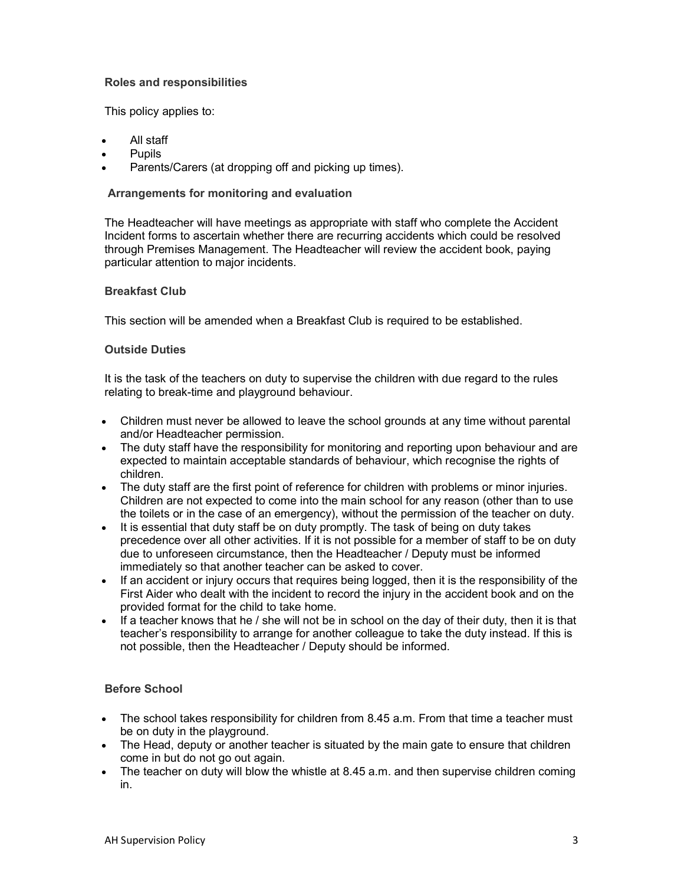# Roles and responsibilities

This policy applies to:

- All staff
- **Pupils**
- Parents/Carers (at dropping off and picking up times).

## Arrangements for monitoring and evaluation

The Headteacher will have meetings as appropriate with staff who complete the Accident Incident forms to ascertain whether there are recurring accidents which could be resolved through Premises Management. The Headteacher will review the accident book, paying particular attention to major incidents.

## Breakfast Club

This section will be amended when a Breakfast Club is required to be established.

## Outside Duties

It is the task of the teachers on duty to supervise the children with due regard to the rules relating to break-time and playground behaviour.

- Children must never be allowed to leave the school grounds at any time without parental and/or Headteacher permission.
- The duty staff have the responsibility for monitoring and reporting upon behaviour and are expected to maintain acceptable standards of behaviour, which recognise the rights of children.
- The duty staff are the first point of reference for children with problems or minor injuries. Children are not expected to come into the main school for any reason (other than to use the toilets or in the case of an emergency), without the permission of the teacher on duty.
- It is essential that duty staff be on duty promptly. The task of being on duty takes precedence over all other activities. If it is not possible for a member of staff to be on duty due to unforeseen circumstance, then the Headteacher / Deputy must be informed immediately so that another teacher can be asked to cover.
- If an accident or injury occurs that requires being logged, then it is the responsibility of the First Aider who dealt with the incident to record the injury in the accident book and on the provided format for the child to take home.
- If a teacher knows that he / she will not be in school on the day of their duty, then it is that teacher's responsibility to arrange for another colleague to take the duty instead. If this is not possible, then the Headteacher / Deputy should be informed.

# Before School

- The school takes responsibility for children from 8.45 a.m. From that time a teacher must be on duty in the playground.
- The Head, deputy or another teacher is situated by the main gate to ensure that children come in but do not go out again.
- The teacher on duty will blow the whistle at 8.45 a.m. and then supervise children coming in.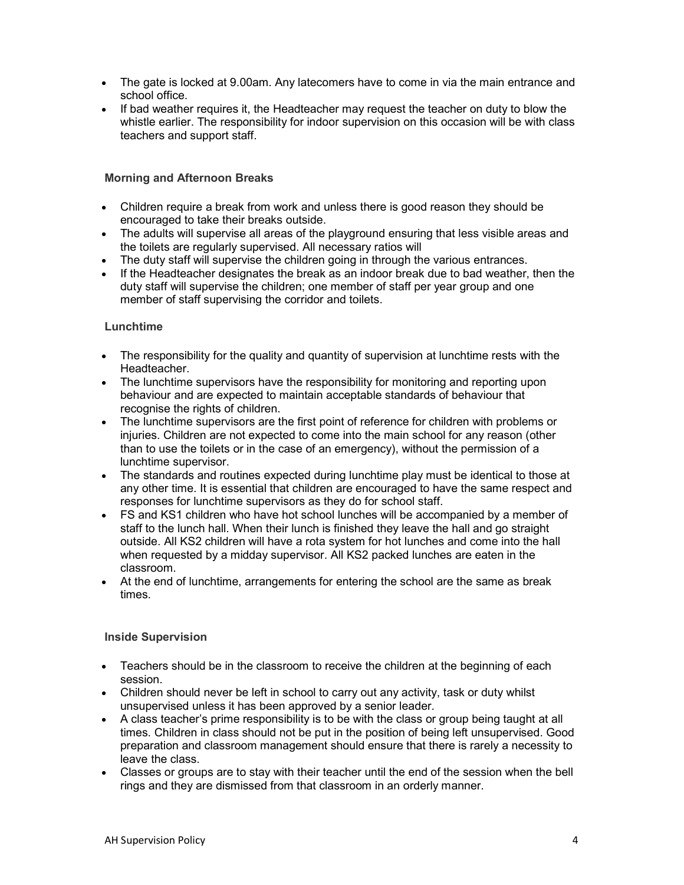- The gate is locked at 9.00am. Any latecomers have to come in via the main entrance and school office.
- If bad weather requires it, the Headteacher may request the teacher on duty to blow the whistle earlier. The responsibility for indoor supervision on this occasion will be with class teachers and support staff.

# Morning and Afternoon Breaks

- Children require a break from work and unless there is good reason they should be encouraged to take their breaks outside.
- The adults will supervise all areas of the playground ensuring that less visible areas and the toilets are regularly supervised. All necessary ratios will
- The duty staff will supervise the children going in through the various entrances.
- If the Headteacher designates the break as an indoor break due to bad weather, then the duty staff will supervise the children; one member of staff per year group and one member of staff supervising the corridor and toilets.

# **Lunchtime**

- The responsibility for the quality and quantity of supervision at lunchtime rests with the Headteacher.
- The lunchtime supervisors have the responsibility for monitoring and reporting upon behaviour and are expected to maintain acceptable standards of behaviour that recognise the rights of children.
- The lunchtime supervisors are the first point of reference for children with problems or injuries. Children are not expected to come into the main school for any reason (other than to use the toilets or in the case of an emergency), without the permission of a lunchtime supervisor.
- The standards and routines expected during lunchtime play must be identical to those at any other time. It is essential that children are encouraged to have the same respect and responses for lunchtime supervisors as they do for school staff.
- FS and KS1 children who have hot school lunches will be accompanied by a member of staff to the lunch hall. When their lunch is finished they leave the hall and go straight outside. All KS2 children will have a rota system for hot lunches and come into the hall when requested by a midday supervisor. All KS2 packed lunches are eaten in the classroom.
- At the end of lunchtime, arrangements for entering the school are the same as break times.

# Inside Supervision

- Teachers should be in the classroom to receive the children at the beginning of each session.
- Children should never be left in school to carry out any activity, task or duty whilst unsupervised unless it has been approved by a senior leader.
- A class teacher's prime responsibility is to be with the class or group being taught at all times. Children in class should not be put in the position of being left unsupervised. Good preparation and classroom management should ensure that there is rarely a necessity to leave the class.
- Classes or groups are to stay with their teacher until the end of the session when the bell rings and they are dismissed from that classroom in an orderly manner.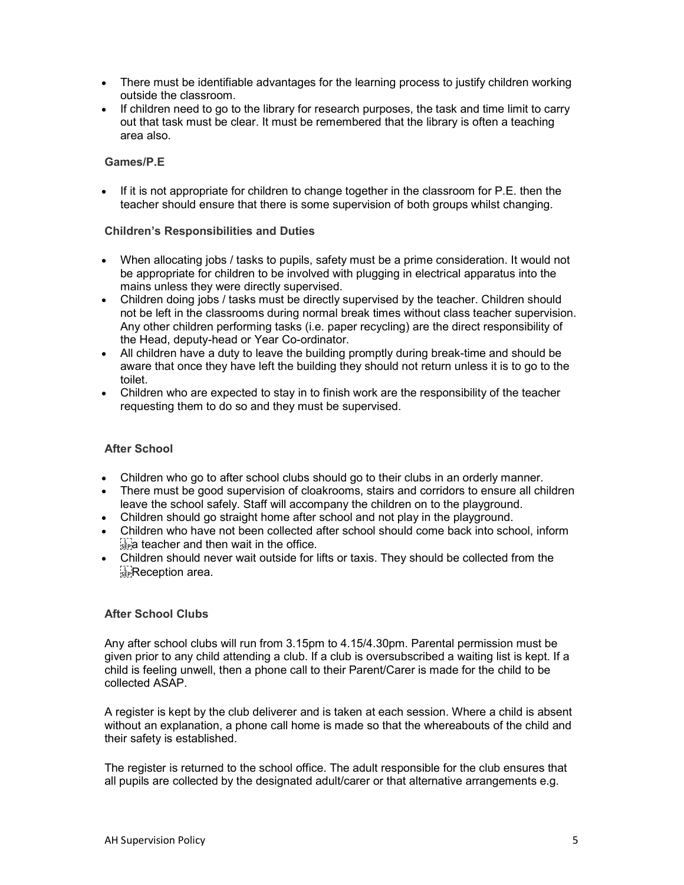- There must be identifiable advantages for the learning process to justify children working outside the classroom.
- If children need to go to the library for research purposes, the task and time limit to carry out that task must be clear. It must be remembered that the library is often a teaching area also.

## Games/P.E

If it is not appropriate for children to change together in the classroom for P.E. then the teacher should ensure that there is some supervision of both groups whilst changing.

## Children's Responsibilities and Duties

- When allocating jobs / tasks to pupils, safety must be a prime consideration. It would not be appropriate for children to be involved with plugging in electrical apparatus into the mains unless they were directly supervised.
- Children doing jobs / tasks must be directly supervised by the teacher. Children should not be left in the classrooms during normal break times without class teacher supervision. Any other children performing tasks (i.e. paper recycling) are the direct responsibility of the Head, deputy-head or Year Co-ordinator.
- All children have a duty to leave the building promptly during break-time and should be aware that once they have left the building they should not return unless it is to go to the toilet.
- Children who are expected to stay in to finish work are the responsibility of the teacher requesting them to do so and they must be supervised.

## After School

- Children who go to after school clubs should go to their clubs in an orderly manner.
- There must be good supervision of cloakrooms, stairs and corridors to ensure all children leave the school safely. Staff will accompany the children on to the playground.
- Children should go straight home after school and not play in the playground.
- Children who have not been collected after school should come back into school, inform  $\frac{1}{35}$  teacher and then wait in the office.
- Children should never wait outside for lifts or taxis. They should be collected from the **Reception area.**

# After School Clubs

Any after school clubs will run from 3.15pm to 4.15/4.30pm. Parental permission must be given prior to any child attending a club. If a club is oversubscribed a waiting list is kept. If a child is feeling unwell, then a phone call to their Parent/Carer is made for the child to be collected ASAP.

A register is kept by the club deliverer and is taken at each session. Where a child is absent without an explanation, a phone call home is made so that the whereabouts of the child and their safety is established.

The register is returned to the school office. The adult responsible for the club ensures that all pupils are collected by the designated adult/carer or that alternative arrangements e.g.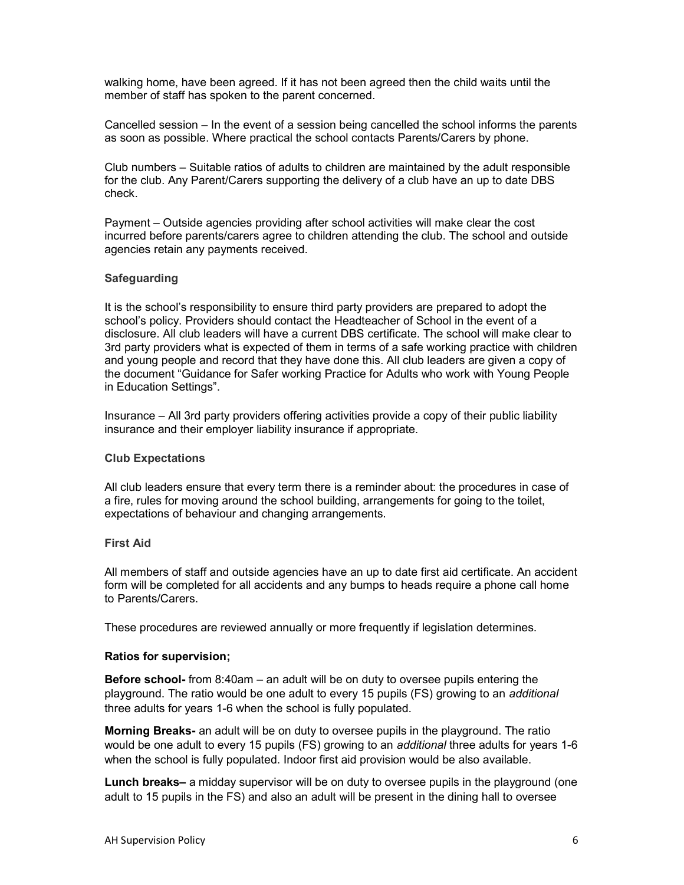walking home, have been agreed. If it has not been agreed then the child waits until the member of staff has spoken to the parent concerned.

Cancelled session – In the event of a session being cancelled the school informs the parents as soon as possible. Where practical the school contacts Parents/Carers by phone.

Club numbers – Suitable ratios of adults to children are maintained by the adult responsible for the club. Any Parent/Carers supporting the delivery of a club have an up to date DBS check.

Payment – Outside agencies providing after school activities will make clear the cost incurred before parents/carers agree to children attending the club. The school and outside agencies retain any payments received.

## **Safeguarding**

It is the school's responsibility to ensure third party providers are prepared to adopt the school's policy. Providers should contact the Headteacher of School in the event of a disclosure. All club leaders will have a current DBS certificate. The school will make clear to 3rd party providers what is expected of them in terms of a safe working practice with children and young people and record that they have done this. All club leaders are given a copy of the document "Guidance for Safer working Practice for Adults who work with Young People in Education Settings".

Insurance – All 3rd party providers offering activities provide a copy of their public liability insurance and their employer liability insurance if appropriate.

## Club Expectations

All club leaders ensure that every term there is a reminder about: the procedures in case of a fire, rules for moving around the school building, arrangements for going to the toilet, expectations of behaviour and changing arrangements.

## First Aid

All members of staff and outside agencies have an up to date first aid certificate. An accident form will be completed for all accidents and any bumps to heads require a phone call home to Parents/Carers.

These procedures are reviewed annually or more frequently if legislation determines.

## Ratios for supervision;

Before school- from 8:40am – an adult will be on duty to oversee pupils entering the playground. The ratio would be one adult to every 15 pupils (FS) growing to an additional three adults for years 1-6 when the school is fully populated.

Morning Breaks- an adult will be on duty to oversee pupils in the playground. The ratio would be one adult to every 15 pupils (FS) growing to an *additional* three adults for years 1-6 when the school is fully populated. Indoor first aid provision would be also available.

Lunch breaks– a midday supervisor will be on duty to oversee pupils in the playground (one adult to 15 pupils in the FS) and also an adult will be present in the dining hall to oversee